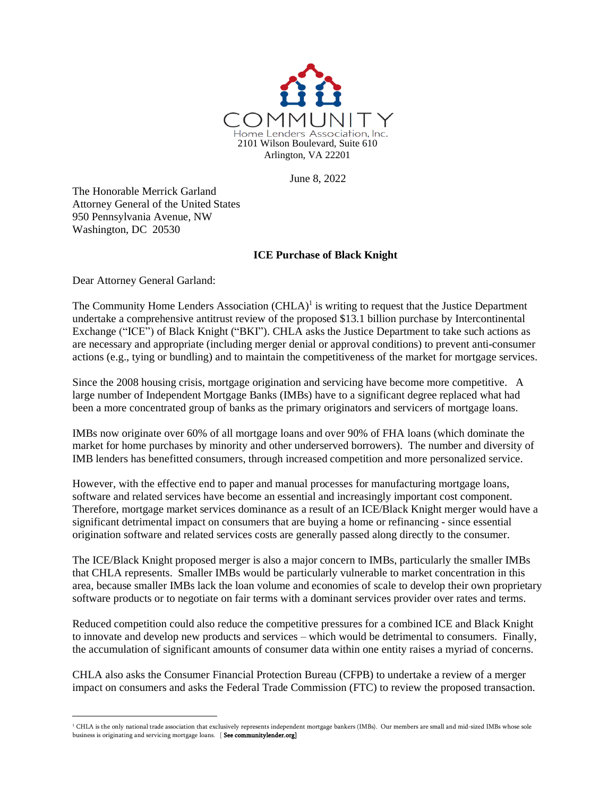

June 8, 2022

The Honorable Merrick Garland Attorney General of the United States 950 Pennsylvania Avenue, NW Washington, DC 20530

# **ICE Purchase of Black Knight**

Dear Attorney General Garland:

The Community Home Lenders Association  $(CHLA)^1$  is writing to request that the Justice Department undertake a comprehensive antitrust review of the proposed \$13.1 billion purchase by Intercontinental Exchange ("ICE") of Black Knight ("BKI"). CHLA asks the Justice Department to take such actions as are necessary and appropriate (including merger denial or approval conditions) to prevent anti-consumer actions (e.g., tying or bundling) and to maintain the competitiveness of the market for mortgage services.

Since the 2008 housing crisis, mortgage origination and servicing have become more competitive. A large number of Independent Mortgage Banks (IMBs) have to a significant degree replaced what had been a more concentrated group of banks as the primary originators and servicers of mortgage loans.

IMBs now originate over 60% of all mortgage loans and over 90% of FHA loans (which dominate the market for home purchases by minority and other underserved borrowers). The number and diversity of IMB lenders has benefitted consumers, through increased competition and more personalized service.

However, with the effective end to paper and manual processes for manufacturing mortgage loans, software and related services have become an essential and increasingly important cost component. Therefore, mortgage market services dominance as a result of an ICE/Black Knight merger would have a significant detrimental impact on consumers that are buying a home or refinancing - since essential origination software and related services costs are generally passed along directly to the consumer.

The ICE/Black Knight proposed merger is also a major concern to IMBs, particularly the smaller IMBs that CHLA represents. Smaller IMBs would be particularly vulnerable to market concentration in this area, because smaller IMBs lack the loan volume and economies of scale to develop their own proprietary software products or to negotiate on fair terms with a dominant services provider over rates and terms.

Reduced competition could also reduce the competitive pressures for a combined ICE and Black Knight to innovate and develop new products and services – which would be detrimental to consumers. Finally, the accumulation of significant amounts of consumer data within one entity raises a myriad of concerns.

CHLA also asks the Consumer Financial Protection Bureau (CFPB) to undertake a review of a merger impact on consumers and asks the Federal Trade Commission (FTC) to review the proposed transaction.

<sup>&</sup>lt;sup>1</sup> CHLA is the only national trade association that exclusively represents independent mortgage bankers (IMBs). Our members are small and mid-sized IMBs whose sole business is originating and servicing mortgage loans. [ See communitylender.org]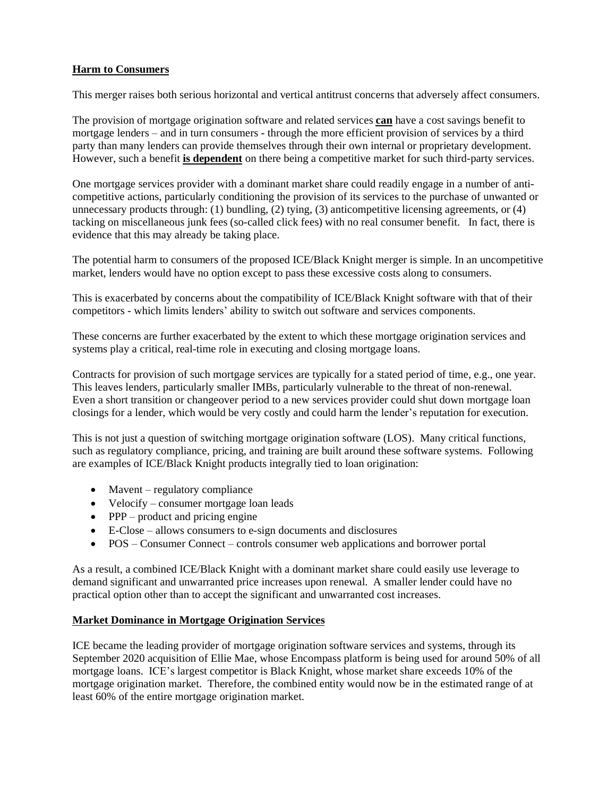# **Harm to Consumers**

This merger raises both serious horizontal and vertical antitrust concerns that adversely affect consumers.

The provision of mortgage origination software and related services **can** have a cost savings benefit to mortgage lenders – and in turn consumers - through the more efficient provision of services by a third party than many lenders can provide themselves through their own internal or proprietary development. However, such a benefit **is dependent** on there being a competitive market for such third-party services.

One mortgage services provider with a dominant market share could readily engage in a number of anticompetitive actions, particularly conditioning the provision of its services to the purchase of unwanted or unnecessary products through: (1) bundling, (2) tying, (3) anticompetitive licensing agreements, or (4) tacking on miscellaneous junk fees (so-called click fees) with no real consumer benefit. In fact, there is evidence that this may already be taking place.

The potential harm to consumers of the proposed ICE/Black Knight merger is simple. In an uncompetitive market, lenders would have no option except to pass these excessive costs along to consumers.

This is exacerbated by concerns about the compatibility of ICE/Black Knight software with that of their competitors - which limits lenders' ability to switch out software and services components.

These concerns are further exacerbated by the extent to which these mortgage origination services and systems play a critical, real-time role in executing and closing mortgage loans.

Contracts for provision of such mortgage services are typically for a stated period of time, e.g., one year. This leaves lenders, particularly smaller IMBs, particularly vulnerable to the threat of non-renewal. Even a short transition or changeover period to a new services provider could shut down mortgage loan closings for a lender, which would be very costly and could harm the lender's reputation for execution.

This is not just a question of switching mortgage origination software (LOS). Many critical functions, such as regulatory compliance, pricing, and training are built around these software systems. Following are examples of ICE/Black Knight products integrally tied to loan origination:

- Mavent regulatory compliance
- Velocify consumer mortgage loan leads
- PPP product and pricing engine
- E-Close allows consumers to e-sign documents and disclosures
- POS Consumer Connect controls consumer web applications and borrower portal

As a result, a combined ICE/Black Knight with a dominant market share could easily use leverage to demand significant and unwarranted price increases upon renewal. A smaller lender could have no practical option other than to accept the significant and unwarranted cost increases.

### **Market Dominance in Mortgage Origination Services**

ICE became the leading provider of mortgage origination software services and systems, through its September 2020 acquisition of Ellie Mae, whose Encompass platform is being used for around 50% of all mortgage loans. ICE's largest competitor is Black Knight, whose market share exceeds 10% of the mortgage origination market. Therefore, the combined entity would now be in the estimated range of at least 60% of the entire mortgage origination market.